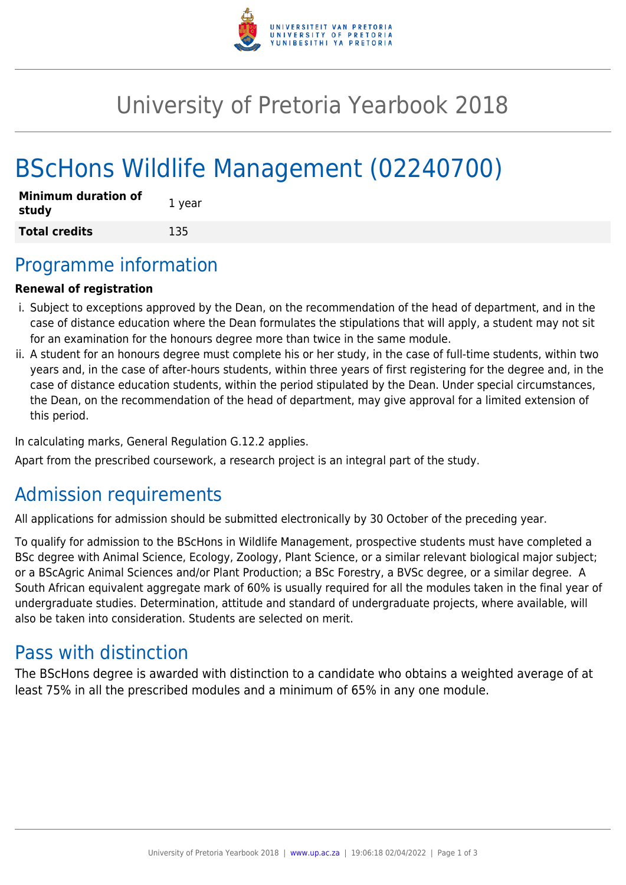

# University of Pretoria Yearbook 2018

# BScHons Wildlife Management (02240700)

| <b>Minimum duration of</b><br>study | 1 year |
|-------------------------------------|--------|
| <b>Total credits</b>                | 135    |

### Programme information

#### **Renewal of registration**

- i. Subject to exceptions approved by the Dean, on the recommendation of the head of department, and in the case of distance education where the Dean formulates the stipulations that will apply, a student may not sit for an examination for the honours degree more than twice in the same module.
- ii. A student for an honours degree must complete his or her study, in the case of full-time students, within two years and, in the case of after-hours students, within three years of first registering for the degree and, in the case of distance education students, within the period stipulated by the Dean. Under special circumstances, the Dean, on the recommendation of the head of department, may give approval for a limited extension of this period.

In calculating marks, General Regulation G.12.2 applies.

Apart from the prescribed coursework, a research project is an integral part of the study.

### Admission requirements

All applications for admission should be submitted electronically by 30 October of the preceding year.

To qualify for admission to the BScHons in Wildlife Management, prospective students must have completed a BSc degree with Animal Science, Ecology, Zoology, Plant Science, or a similar relevant biological major subject; or a BScAgric Animal Sciences and/or Plant Production; a BSc Forestry, a BVSc degree, or a similar degree. A South African equivalent aggregate mark of 60% is usually required for all the modules taken in the final year of undergraduate studies. Determination, attitude and standard of undergraduate projects, where available, will also be taken into consideration. Students are selected on merit.

### Pass with distinction

The BScHons degree is awarded with distinction to a candidate who obtains a weighted average of at least 75% in all the prescribed modules and a minimum of 65% in any one module.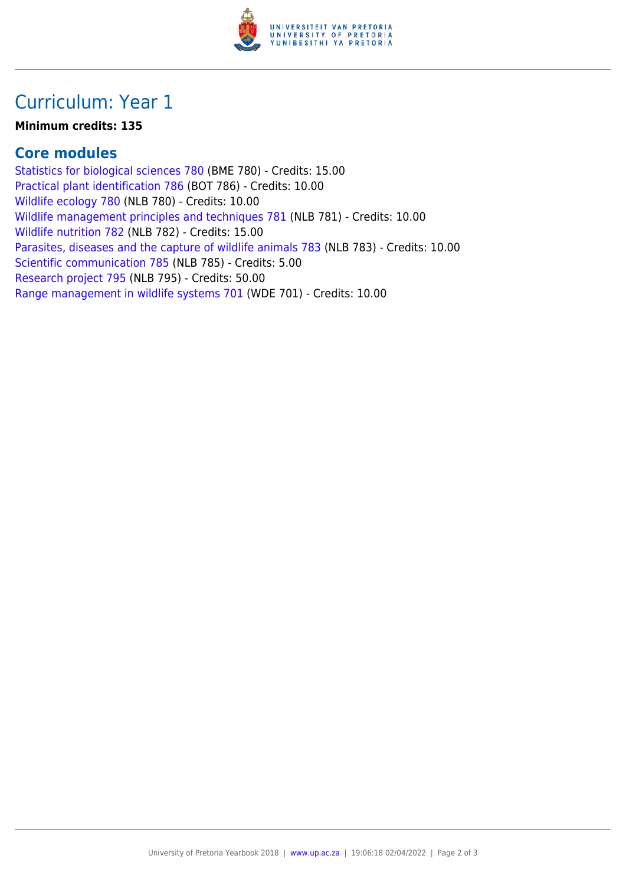

## Curriculum: Year 1

#### **Minimum credits: 135**

#### **Core modules**

[Statistics for biological sciences 780](https://www.up.ac.za/yearbooks/2018/modules/view/BME 780) (BME 780) - Credits: 15.00 [Practical plant identification 786](https://www.up.ac.za/yearbooks/2018/modules/view/BOT 786) (BOT 786) - Credits: 10.00 [Wildlife ecology 780](https://www.up.ac.za/yearbooks/2018/modules/view/NLB 780) (NLB 780) - Credits: 10.00 [Wildlife management principles and techniques 781](https://www.up.ac.za/yearbooks/2018/modules/view/NLB 781) (NLB 781) - Credits: 10.00 [Wildlife nutrition 782](https://www.up.ac.za/yearbooks/2018/modules/view/NLB 782) (NLB 782) - Credits: 15.00 [Parasites, diseases and the capture of wildlife animals 783](https://www.up.ac.za/yearbooks/2018/modules/view/NLB 783) (NLB 783) - Credits: 10.00 [Scientific communication 785](https://www.up.ac.za/yearbooks/2018/modules/view/NLB 785) (NLB 785) - Credits: 5.00 [Research project 795](https://www.up.ac.za/yearbooks/2018/modules/view/NLB 795) (NLB 795) - Credits: 50.00 [Range management in wildlife systems 701](https://www.up.ac.za/yearbooks/2018/modules/view/WDE 701) (WDE 701) - Credits: 10.00